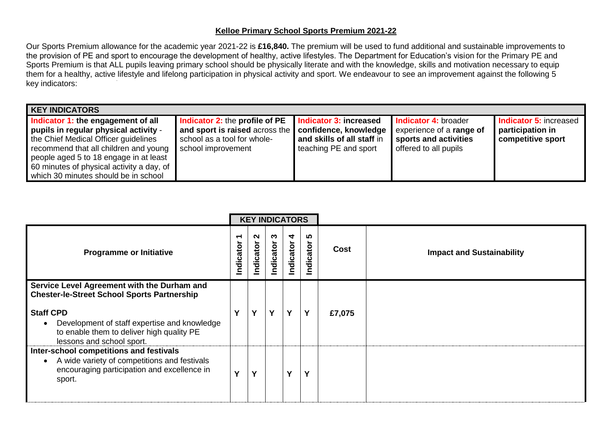## **Kelloe Primary School Sports Premium 2021-22**

Our Sports Premium allowance for the academic year 2021-22 is **£16,840.** The premium will be used to fund additional and sustainable improvements to the provision of PE and sport to encourage the development of healthy, active lifestyles. The Department for Education's vision for the Primary PE and Sports Premium is that ALL pupils leaving primary school should be physically literate and with the knowledge, skills and motivation necessary to equip them for a healthy, active lifestyle and lifelong participation in physical activity and sport. We endeavour to see an improvement against the following 5 key indicators:

| <b>KEY INDICATORS</b>                                                                                                                                                                                                                                                                       |                                                                                                                       |                                                                                                        |                                                                                                                  |                                                                 |
|---------------------------------------------------------------------------------------------------------------------------------------------------------------------------------------------------------------------------------------------------------------------------------------------|-----------------------------------------------------------------------------------------------------------------------|--------------------------------------------------------------------------------------------------------|------------------------------------------------------------------------------------------------------------------|-----------------------------------------------------------------|
| Indicator 1: the engagement of all<br>pupils in regular physical activity -<br>the Chief Medical Officer guidelines<br>recommend that all children and young<br>people aged 5 to 18 engage in at least<br>60 minutes of physical activity a day, of<br>which 30 minutes should be in school | Indicator 2: the profile of PE<br>and sport is raised across the<br>school as a tool for whole-<br>school improvement | Indicator 3: increased<br>confidence, knowledge<br>and skills of all staff in<br>teaching PE and sport | <b>Indicator 4: broader</b><br>experience of a <b>range of</b><br>sports and activities<br>offered to all pupils | Indicator 5: increased<br>participation in<br>competitive sport |

|                                                                                                                                                               |   |               |               | <b>KEY INDICATORS</b> |               |        |                                  |
|---------------------------------------------------------------------------------------------------------------------------------------------------------------|---|---------------|---------------|-----------------------|---------------|--------|----------------------------------|
| <b>Programme or Initiative</b>                                                                                                                                |   | N<br>ndicator | ო<br>ndicator | 4<br>ndicator         | ഗ<br>ndicator | Cost   | <b>Impact and Sustainability</b> |
| Service Level Agreement with the Durham and<br><b>Chester-le-Street School Sports Partnership</b>                                                             |   |               |               |                       |               |        |                                  |
| <b>Staff CPD</b><br>Development of staff expertise and knowledge<br>to enable them to deliver high quality PE<br>lessons and school sport.                    | v | $\mathbf v$   | Y             | Y                     | Υ             | £7,075 |                                  |
| Inter-school competitions and festivals<br>A wide variety of competitions and festivals<br>$\bullet$<br>encouraging participation and excellence in<br>sport. | v | v             |               | v                     | ν             |        |                                  |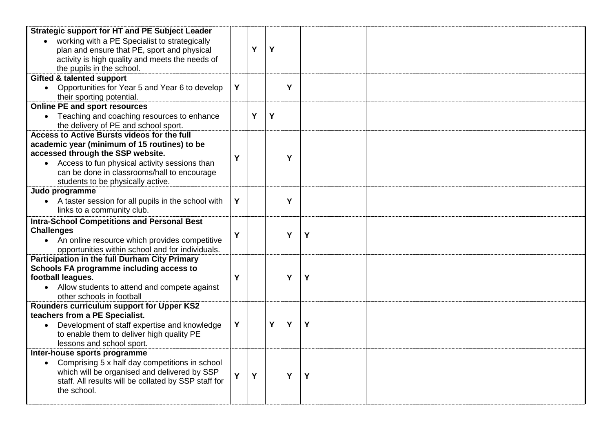| <b>Strategic support for HT and PE Subject Leader</b>                                             |   |   |   |   |   |  |
|---------------------------------------------------------------------------------------------------|---|---|---|---|---|--|
| working with a PE Specialist to strategically                                                     |   |   |   |   |   |  |
| plan and ensure that PE, sport and physical                                                       |   | Y | Y |   |   |  |
| activity is high quality and meets the needs of<br>the pupils in the school.                      |   |   |   |   |   |  |
| <b>Gifted &amp; talented support</b>                                                              |   |   |   |   |   |  |
| Opportunities for Year 5 and Year 6 to develop                                                    | Y |   |   | Y |   |  |
| their sporting potential.                                                                         |   |   |   |   |   |  |
| <b>Online PE and sport resources</b>                                                              |   |   |   |   |   |  |
| Teaching and coaching resources to enhance                                                        |   | Y | Y |   |   |  |
| the delivery of PE and school sport.                                                              |   |   |   |   |   |  |
| Access to Active Bursts videos for the full                                                       |   |   |   |   |   |  |
| academic year (minimum of 15 routines) to be                                                      |   |   |   |   |   |  |
| accessed through the SSP website.                                                                 | Ý |   |   | Ý |   |  |
| Access to fun physical activity sessions than                                                     |   |   |   |   |   |  |
| can be done in classrooms/hall to encourage                                                       |   |   |   |   |   |  |
| students to be physically active.                                                                 |   |   |   |   |   |  |
| Judo programme                                                                                    |   |   |   |   |   |  |
| • A taster session for all pupils in the school with                                              | Y |   |   | Ý |   |  |
| links to a community club.                                                                        |   |   |   |   |   |  |
| <b>Intra-School Competitions and Personal Best</b>                                                |   |   |   |   |   |  |
| <b>Challenges</b>                                                                                 | Y |   |   | Y | Y |  |
| An online resource which provides competitive<br>opportunities within school and for individuals. |   |   |   |   |   |  |
| <b>Participation in the full Durham City Primary</b>                                              |   |   |   |   |   |  |
| Schools FA programme including access to                                                          |   |   |   |   |   |  |
| football leagues.                                                                                 | Ý |   |   | Ý | Y |  |
| • Allow students to attend and compete against                                                    |   |   |   |   |   |  |
| other schools in football                                                                         |   |   |   |   |   |  |
| Rounders curriculum support for Upper KS2                                                         |   |   |   |   |   |  |
| teachers from a PE Specialist.                                                                    |   |   |   |   |   |  |
| Development of staff expertise and knowledge                                                      | Y |   | Y | Y | Y |  |
| to enable them to deliver high quality PE                                                         |   |   |   |   |   |  |
| lessons and school sport.                                                                         |   |   |   |   |   |  |
| Inter-house sports programme                                                                      |   |   |   |   |   |  |
| Comprising 5 x half day competitions in school                                                    |   |   |   |   |   |  |
| which will be organised and delivered by SSP                                                      | Ý | Y |   | Y | Y |  |
| staff. All results will be collated by SSP staff for                                              |   |   |   |   |   |  |
| the school.                                                                                       |   |   |   |   |   |  |
|                                                                                                   |   |   |   |   |   |  |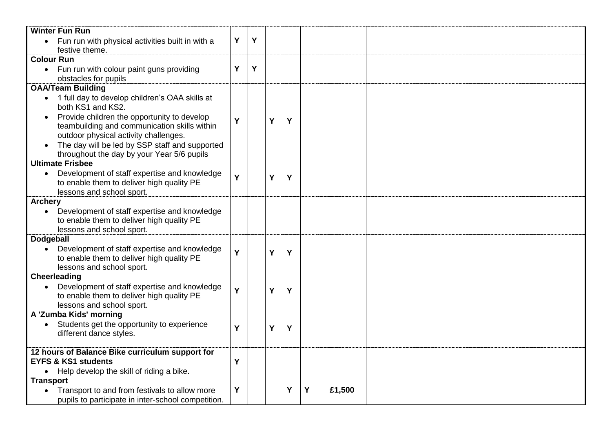| <b>Winter Fun Run</b>                                       |   |   |   |   |   |        |  |
|-------------------------------------------------------------|---|---|---|---|---|--------|--|
| • Fun run with physical activities built in with a          | Y | Y |   |   |   |        |  |
| festive theme.                                              |   |   |   |   |   |        |  |
| <b>Colour Run</b>                                           |   |   |   |   |   |        |  |
| Fun run with colour paint guns providing                    | Y | Y |   |   |   |        |  |
| obstacles for pupils                                        |   |   |   |   |   |        |  |
| <b>OAA/Team Building</b>                                    |   |   |   |   |   |        |  |
| 1 full day to develop children's OAA skills at<br>$\bullet$ |   |   |   |   |   |        |  |
| both KS1 and KS2.                                           |   |   |   |   |   |        |  |
| Provide children the opportunity to develop<br>$\bullet$    | Y |   | Y | Y |   |        |  |
| teambuilding and communication skills within                |   |   |   |   |   |        |  |
| outdoor physical activity challenges.                       |   |   |   |   |   |        |  |
| The day will be led by SSP staff and supported              |   |   |   |   |   |        |  |
| throughout the day by your Year 5/6 pupils                  |   |   |   |   |   |        |  |
| <b>Ultimate Frisbee</b>                                     |   |   |   |   |   |        |  |
| Development of staff expertise and knowledge<br>$\bullet$   | Y |   | Y | Y |   |        |  |
| to enable them to deliver high quality PE                   |   |   |   |   |   |        |  |
| lessons and school sport.                                   |   |   |   |   |   |        |  |
| <b>Archery</b>                                              |   |   |   |   |   |        |  |
| Development of staff expertise and knowledge<br>$\bullet$   |   |   |   |   |   |        |  |
| to enable them to deliver high quality PE                   |   |   |   |   |   |        |  |
| lessons and school sport.                                   |   |   |   |   |   |        |  |
| <b>Dodgeball</b>                                            |   |   |   |   |   |        |  |
| Development of staff expertise and knowledge                | Y |   | Y | Y |   |        |  |
| to enable them to deliver high quality PE                   |   |   |   |   |   |        |  |
| lessons and school sport.                                   |   |   |   |   |   |        |  |
| Cheerleading                                                |   |   |   |   |   |        |  |
| Development of staff expertise and knowledge<br>$\bullet$   | Ý |   | Y | Y |   |        |  |
| to enable them to deliver high quality PE                   |   |   |   |   |   |        |  |
| lessons and school sport.                                   |   |   |   |   |   |        |  |
| A 'Zumba Kids' morning                                      |   |   |   |   |   |        |  |
| Students get the opportunity to experience                  | Y |   | Y | Υ |   |        |  |
| different dance styles.                                     |   |   |   |   |   |        |  |
|                                                             |   |   |   |   |   |        |  |
| 12 hours of Balance Bike curriculum support for             |   |   |   |   |   |        |  |
| <b>EYFS &amp; KS1 students</b>                              | Y |   |   |   |   |        |  |
| • Help develop the skill of riding a bike.                  |   |   |   |   |   |        |  |
| <b>Transport</b>                                            |   |   |   |   |   |        |  |
| Transport to and from festivals to allow more               | Y |   |   | Y | Y | £1,500 |  |
| pupils to participate in inter-school competition.          |   |   |   |   |   |        |  |